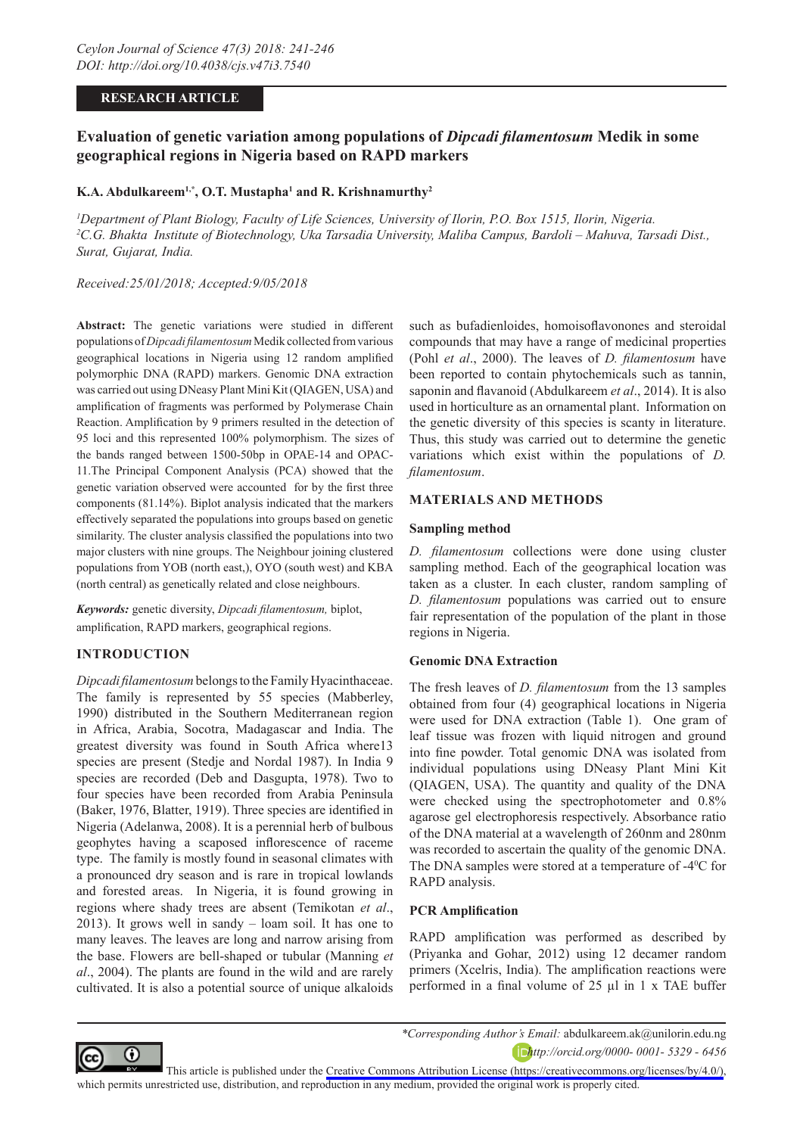### **RESEARCH ARTICLE**

# **Evaluation of genetic variation among populations of** *Dipcadi filamentosum* **Medik in some geographical regions in Nigeria based on RAPD markers**

# **K.A. Abdulkareem1,\*, O.T. Mustapha1 and R. Krishnamurthy2**

*1 Department of Plant Biology, Faculty of Life Sciences, University of Ilorin, P.O. Box 1515, Ilorin, Nigeria. 2 C.G. Bhakta Institute of Biotechnology, Uka Tarsadia University, Maliba Campus, Bardoli – Mahuva, Tarsadi Dist., Surat, Gujarat, India.*

*Received:25/01/2018; Accepted:9/05/2018*

**Abstract:** The genetic variations were studied in different populations of *Dipcadi filamentosum* Medik collected from various geographical locations in Nigeria using 12 random amplified polymorphic DNA (RAPD) markers. Genomic DNA extraction was carried out using DNeasy Plant Mini Kit (QIAGEN, USA) and amplification of fragments was performed by Polymerase Chain Reaction. Amplification by 9 primers resulted in the detection of 95 loci and this represented 100% polymorphism. The sizes of the bands ranged between 1500-50bp in OPAE-14 and OPAC-11.The Principal Component Analysis (PCA) showed that the genetic variation observed were accounted for by the first three components (81.14%). Biplot analysis indicated that the markers effectively separated the populations into groups based on genetic similarity. The cluster analysis classified the populations into two major clusters with nine groups. The Neighbour joining clustered populations from YOB (north east,), OYO (south west) and KBA (north central) as genetically related and close neighbours.

*Keywords:* genetic diversity, *Dipcadi filamentosum,* biplot, amplification, RAPD markers, geographical regions.

# **INTRODUCTION**

*Dipcadi filamentosum* belongs to the Family Hyacinthaceae. The family is represented by 55 species (Mabberley, 1990) distributed in the Southern Mediterranean region in Africa, Arabia, Socotra, Madagascar and India. The greatest diversity was found in South Africa where13 species are present (Stedje and Nordal 1987). In India 9 species are recorded (Deb and Dasgupta, 1978). Two to four species have been recorded from Arabia Peninsula (Baker, 1976, Blatter, 1919). Three species are identified in Nigeria (Adelanwa, 2008). It is a perennial herb of bulbous geophytes having a scaposed inflorescence of raceme type. The family is mostly found in seasonal climates with a pronounced dry season and is rare in tropical lowlands and forested areas. In Nigeria, it is found growing in regions where shady trees are absent (Temikotan *et al*., 2013). It grows well in sandy – loam soil. It has one to many leaves. The leaves are long and narrow arising from the base. Flowers are bell-shaped or tubular (Manning *et al*., 2004). The plants are found in the wild and are rarely cultivated. It is also a potential source of unique alkaloids

such as bufadienloides, homoisoflavonones and steroidal compounds that may have a range of medicinal properties (Pohl *et al*., 2000). The leaves of *D. filamentosum* have been reported to contain phytochemicals such as tannin, saponin and flavanoid (Abdulkareem *et al*., 2014). It is also used in horticulture as an ornamental plant. Information on the genetic diversity of this species is scanty in literature. Thus, this study was carried out to determine the genetic variations which exist within the populations of *D. filamentosum*.

### **MATERIALS AND METHODS**

#### **Sampling method**

*D. filamentosum* collections were done using cluster sampling method. Each of the geographical location was taken as a cluster. In each cluster, random sampling of *D. filamentosum* populations was carried out to ensure fair representation of the population of the plant in those regions in Nigeria.

#### **Genomic DNA Extraction**

The fresh leaves of *D. filamentosum* from the 13 samples obtained from four (4) geographical locations in Nigeria were used for DNA extraction (Table 1). One gram of leaf tissue was frozen with liquid nitrogen and ground into fine powder. Total genomic DNA was isolated from individual populations using DNeasy Plant Mini Kit (QIAGEN, USA). The quantity and quality of the DNA were checked using the spectrophotometer and 0.8% agarose gel electrophoresis respectively. Absorbance ratio of the DNA material at a wavelength of 260nm and 280nm was recorded to ascertain the quality of the genomic DNA. The DNA samples were stored at a temperature of -4<sup>0</sup>C for RAPD analysis.

#### **PCR Amplification**

RAPD amplification was performed as described by (Priyanka and Gohar, 2012) using 12 decamer random primers (Xcelris, India). The amplification reactions were performed in a final volume of 25 µl in 1 x TAE buffer



This article is published under the [Creative Commons Attribution License \(https://creativecommons.org/licenses/by/4.0/\)](https://creativecommons.org/licenses/by/4.0/), which permits unrestricted use, distribution, and reproduction in any medium, provided the original work is properly cited.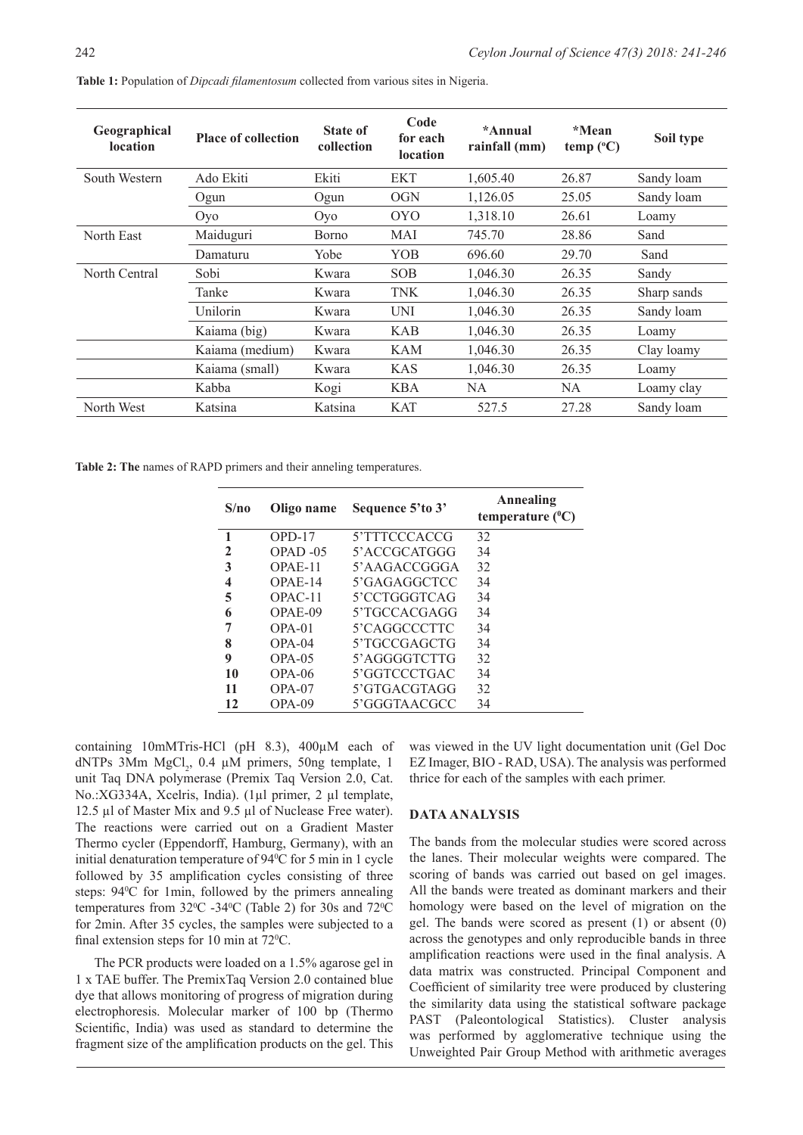| Geographical<br><b>location</b> | <b>Place of collection</b> | <b>State of</b><br>collection | Code<br>for each<br><b>location</b> | *Annual<br>rainfall (mm) | *Mean<br>temp $(^{\circ}C)$ | Soil type   |
|---------------------------------|----------------------------|-------------------------------|-------------------------------------|--------------------------|-----------------------------|-------------|
| South Western                   | Ado Ekiti                  | Ekiti                         | EKT                                 | 1,605.40                 | 26.87                       | Sandy loam  |
|                                 | Ogun                       | Ogun                          | <b>OGN</b>                          | 1,126.05                 | 25.05                       | Sandy loam  |
|                                 | Oyo                        | Oyo                           | <b>OYO</b>                          | 1,318.10                 | 26.61                       | Loamy       |
| North East                      | Maiduguri                  | Borno                         | MAI                                 | 745.70                   | 28.86                       | Sand        |
|                                 | Damaturu                   | Yobe                          | YOB                                 | 696.60                   | 29.70                       | Sand        |
| North Central                   | Sobi                       | Kwara                         | <b>SOB</b>                          | 1,046.30                 | 26.35                       | Sandy       |
|                                 | Tanke                      | Kwara                         | <b>TNK</b>                          | 1,046.30                 | 26.35                       | Sharp sands |
|                                 | Unilorin                   | Kwara                         | <b>UNI</b>                          | 1,046.30                 | 26.35                       | Sandy loam  |
|                                 | Kaiama (big)               | Kwara                         | <b>KAB</b>                          | 1,046.30                 | 26.35                       | Loamy       |
|                                 | Kaiama (medium)            | Kwara                         | <b>KAM</b>                          | 1,046.30                 | 26.35                       | Clay loamy  |
|                                 | Kaiama (small)             | Kwara                         | <b>KAS</b>                          | 1,046.30                 | 26.35                       | Loamy       |
|                                 | Kabba                      | Kogi                          | <b>KBA</b>                          | NA                       | NA.                         | Loamy clay  |
| North West                      | Katsina                    | Katsina                       | <b>KAT</b>                          | 527.5                    | 27.28                       | Sandy loam  |

**Table 1:** Population of *Dipcadi filamentosum* collected from various sites in Nigeria.

**Table 2: The** names of RAPD primers and their anneling temperatures.

| S/no        | Oligo name | Sequence 5'to 3' | Annealing<br>temperature $(^{\circ}C)$ |
|-------------|------------|------------------|----------------------------------------|
| 1           | $OPD-17$   | 5'TTTCCCACCG     | 32                                     |
| $\mathbf 2$ | $OPAD -05$ | 5'ACCGCATGGG     | 34                                     |
| 3           | OPAE-11    | 5'AAGACCGGGA     | 32                                     |
| 4           | $OPAE-14$  | 5'GAGAGGCTCC     | 34                                     |
| 5           | $OPAC-11$  | 5'CCTGGGTCAG     | 34                                     |
| 6           | $OPAE-09$  | 5'TGCCACGAGG     | 34                                     |
| 7           | $OPA-01$   | 5'CAGGCCCTTC     | 34                                     |
| 8           | $OPA-04$   | 5'TGCCGAGCTG     | 34                                     |
| 9           | $OPA-0.5$  | 5'AGGGGTCTTG     | 32                                     |
| 10          | $OPA-06$   | 5'GGTCCCTGAC     | 34                                     |
| 11          | $OPA-07$   | 5'GTGACGTAGG     | 32                                     |
| 12          | $OPA-09$   | 5'GGGTAACGCC     | 34                                     |

containing 10mMTris-HCl (pH 8.3), 400µM each of dNTPs  $3$ Mm MgCl<sub>2</sub>, 0.4  $\mu$ M primers, 50ng template, 1 unit Taq DNA polymerase (Premix Taq Version 2.0, Cat. No.:XG334A, Xcelris, India). (1µl primer, 2 µl template, 12.5 µl of Master Mix and 9.5 µl of Nuclease Free water). The reactions were carried out on a Gradient Master Thermo cycler (Eppendorff, Hamburg, Germany), with an initial denaturation temperature of 94<sup>o</sup>C for 5 min in 1 cycle followed by 35 amplification cycles consisting of three steps: 94<sup>o</sup>C for 1min, followed by the primers annealing temperatures from  $32^{\circ}$ C -34 $^{\circ}$ C (Table 2) for 30s and 72 $^{\circ}$ C for 2min. After 35 cycles, the samples were subjected to a final extension steps for 10 min at  $72^{\circ}$ C.

The PCR products were loaded on a 1.5% agarose gel in 1 x TAE buffer. The PremixTaq Version 2.0 contained blue dye that allows monitoring of progress of migration during electrophoresis. Molecular marker of 100 bp (Thermo Scientific, India) was used as standard to determine the fragment size of the amplification products on the gel. This

was viewed in the UV light documentation unit (Gel Doc EZ Imager, BIO - RAD, USA). The analysis was performed thrice for each of the samples with each primer.

#### **DATA ANALYSIS**

The bands from the molecular studies were scored across the lanes. Their molecular weights were compared. The scoring of bands was carried out based on gel images. All the bands were treated as dominant markers and their homology were based on the level of migration on the gel. The bands were scored as present (1) or absent (0) across the genotypes and only reproducible bands in three amplification reactions were used in the final analysis. A data matrix was constructed. Principal Component and Coefficient of similarity tree were produced by clustering the similarity data using the statistical software package PAST (Paleontological Statistics). Cluster analysis was performed by agglomerative technique using the Unweighted Pair Group Method with arithmetic averages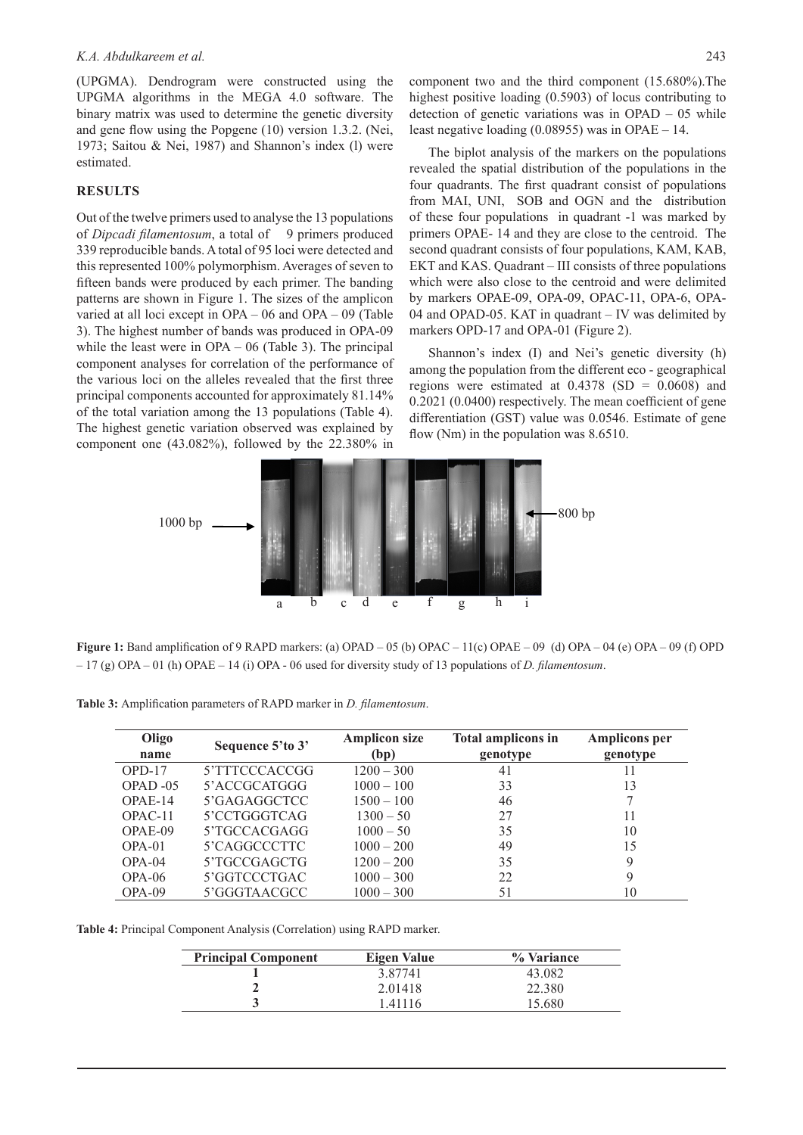(UPGMA). Dendrogram were constructed using the UPGMA algorithms in the MEGA 4.0 software. The binary matrix was used to determine the genetic diversity and gene flow using the Popgene (10) version 1.3.2. (Nei, 1973; Saitou & Nei, 1987) and Shannon's index (l) were estimated.

#### **RESULTS**

Out of the twelve primers used to analyse the 13 populations of *Dipcadi filamentosum*, a total of 9 primers produced 339 reproducible bands. A total of 95 loci were detected and this represented 100% polymorphism. Averages of seven to fifteen bands were produced by each primer. The banding patterns are shown in Figure 1. The sizes of the amplicon varied at all loci except in OPA – 06 and OPA – 09 (Table 3). The highest number of bands was produced in OPA-09 while the least were in OPA – 06 (Table 3). The principal component analyses for correlation of the performance of the various loci on the alleles revealed that the first three principal components accounted for approximately 81.14% of the total variation among the 13 populations (Table 4). The highest genetic variation observed was explained by component one (43.082%), followed by the 22.380% in

component two and the third component (15.680%).The highest positive loading (0.5903) of locus contributing to detection of genetic variations was in OPAD – 05 while least negative loading (0.08955) was in OPAE – 14.

The biplot analysis of the markers on the populations revealed the spatial distribution of the populations in the four quadrants. The first quadrant consist of populations from MAI, UNI, SOB and OGN and the distribution of these four populations in quadrant -1 was marked by primers OPAE- 14 and they are close to the centroid. The second quadrant consists of four populations, KAM, KAB, EKT and KAS. Quadrant – III consists of three populations which were also close to the centroid and were delimited by markers OPAE-09, OPA-09, OPAC-11, OPA-6, OPA-04 and OPAD-05. KAT in quadrant – IV was delimited by markers OPD-17 and OPA-01 (Figure 2).

Shannon's index (I) and Nei's genetic diversity (h) among the population from the different eco - geographical regions were estimated at  $0.4378$  (SD =  $0.0608$ ) and 0.2021 (0.0400) respectively. The mean coefficient of gene differentiation (GST) value was 0.0546. Estimate of gene flow (Nm) in the population was 8.6510.



**Figure 1:** Band amplification of 9 RAPD markers: (a) OPAD – 05 (b) OPAC – 11(c) OPAE – 09 (d) OPA – 04 (e) OPA – 09 (f) OPD – 17 (g) OPA – 01 (h) OPAE – 14 (i) OPA - 06 used for diversity study of 13 populations of *D. filamentosum*.

| Oligo      | Sequence 5'to 3' | <b>Amplicon size</b> | <b>Total amplicons in</b> | <b>Amplicons per</b> |
|------------|------------------|----------------------|---------------------------|----------------------|
| name       |                  | (bp)                 | genotype                  | genotype             |
| $OPD-17$   | 5'TTTCCCACCGG    | $1200 - 300$         | 41                        | 11                   |
| $OPAD -05$ | 5'ACCGCATGGG     | $1000 - 100$         | 33                        | 13                   |
| $OPAE-14$  | 5'GAGAGGCTCC     | $1500 - 100$         | 46                        |                      |
| $OPAC-11$  | 5'CCTGGGTCAG     | $1300 - 50$          | 27                        | 11                   |
| $OPAE-09$  | 5'TGCCACGAGG     | $1000 - 50$          | 35                        | 10                   |
| $OPA-01$   | 5'CAGGCCCTTC     | $1000 - 200$         | 49                        | 15                   |
| $OPA-04$   | 5'TGCCGAGCTG     | $1200 - 200$         | 35                        | 9                    |
| $OPA-06$   | 5'GGTCCCTGAC     | $1000 - 300$         | 22                        | 9                    |
| $OPA-09$   | 5'GGGTAACGCC     | $1000 - 300$         | 51                        | 10                   |

**Table 3:** Amplification parameters of RAPD marker in *D. filamentosum*.

**Table 4:** Principal Component Analysis (Correlation) using RAPD marker.

| <b>Principal Component</b> | Eigen Value | % Variance |
|----------------------------|-------------|------------|
|                            | 3.87741     | 43.082     |
|                            | 2.01418     | 22.380     |
|                            | 1.41116     | 15.680     |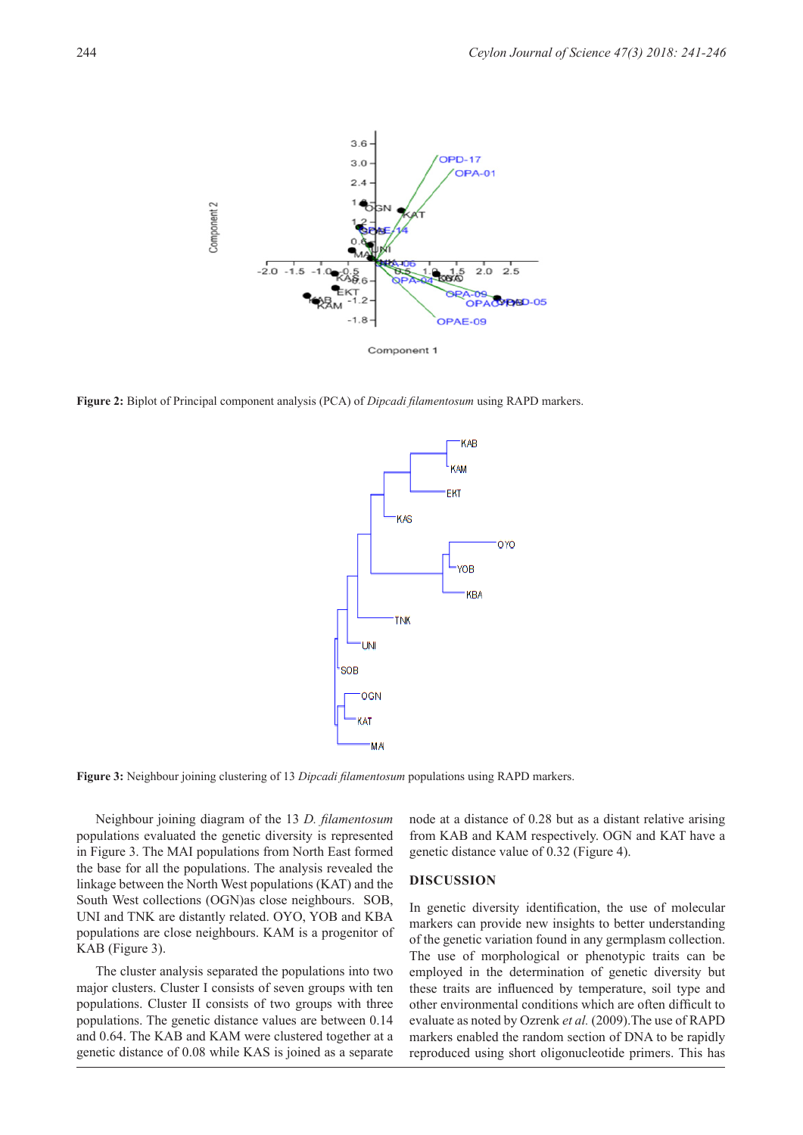

**Figure 2:** Biplot of Principal component analysis (PCA) of *Dipcadi filamentosum* using RAPD markers.



**Figure 3:** Neighbour joining clustering of 13 *Dipcadi filamentosum* populations using RAPD markers.

Neighbour joining diagram of the 13 *D. filamentosum*  populations evaluated the genetic diversity is represented in Figure 3. The MAI populations from North East formed the base for all the populations. The analysis revealed the linkage between the North West populations (KAT) and the South West collections (OGN)as close neighbours. SOB, UNI and TNK are distantly related. OYO, YOB and KBA populations are close neighbours. KAM is a progenitor of KAB (Figure 3).

The cluster analysis separated the populations into two major clusters. Cluster I consists of seven groups with ten populations. Cluster II consists of two groups with three populations. The genetic distance values are between 0.14 and 0.64. The KAB and KAM were clustered together at a genetic distance of 0.08 while KAS is joined as a separate

node at a distance of 0.28 but as a distant relative arising from KAB and KAM respectively. OGN and KAT have a genetic distance value of 0.32 (Figure 4).

#### **DISCUSSION**

In genetic diversity identification, the use of molecular markers can provide new insights to better understanding of the genetic variation found in any germplasm collection. The use of morphological or phenotypic traits can be employed in the determination of genetic diversity but these traits are influenced by temperature, soil type and other environmental conditions which are often difficult to evaluate as noted by Ozrenk *et al.* (2009).The use of RAPD markers enabled the random section of DNA to be rapidly reproduced using short oligonucleotide primers. This has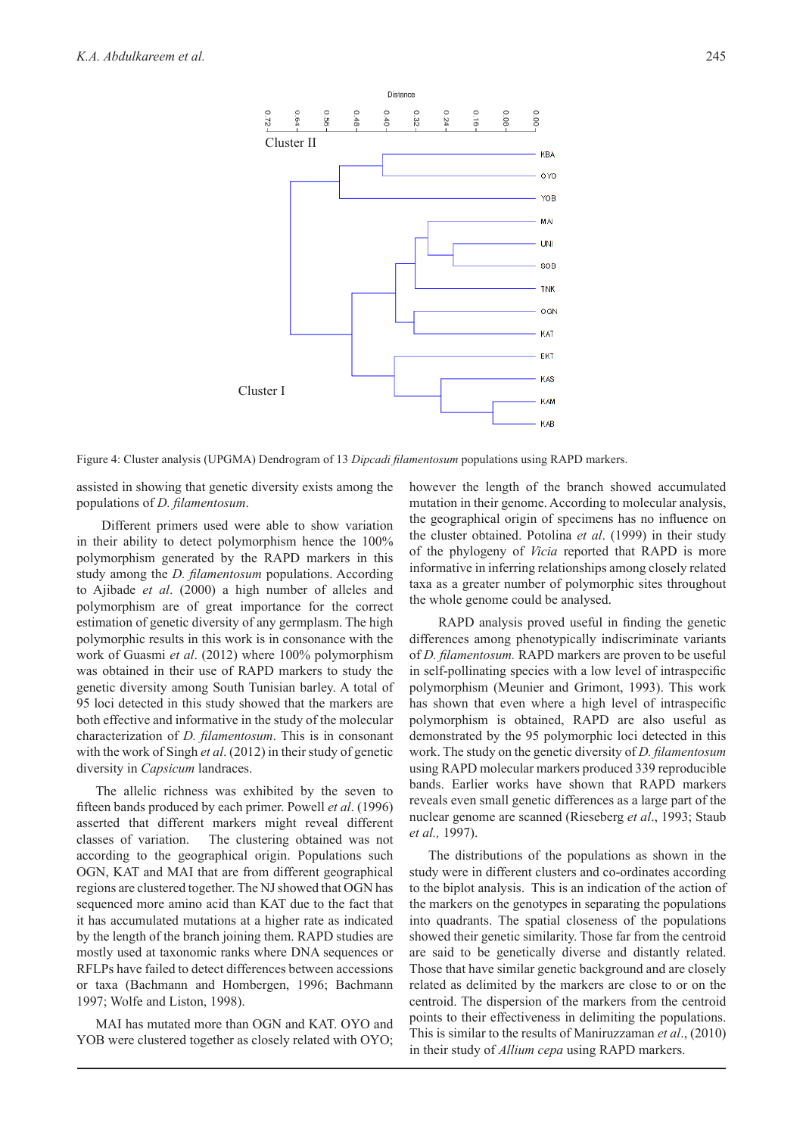

Figure 4: Cluster analysis (UPGMA) Dendrogram of 13 *Dipcadi filamentosum* populations using RAPD markers.

assisted in showing that genetic diversity exists among the populations of *D. filamentosum*.

 Different primers used were able to show variation in their ability to detect polymorphism hence the 100% polymorphism generated by the RAPD markers in this study among the *D. filamentosum* populations. According to Ajibade *et al*. (2000) a high number of alleles and polymorphism are of great importance for the correct estimation of genetic diversity of any germplasm. The high polymorphic results in this work is in consonance with the work of Guasmi *et al*. (2012) where 100% polymorphism was obtained in their use of RAPD markers to study the genetic diversity among South Tunisian barley. A total of 95 loci detected in this study showed that the markers are both effective and informative in the study of the molecular characterization of *D. filamentosum*. This is in consonant with the work of Singh *et al*. (2012) in their study of genetic diversity in *Capsicum* landraces.

The allelic richness was exhibited by the seven to fifteen bands produced by each primer. Powell *et al*. (1996) asserted that different markers might reveal different classes of variation. The clustering obtained was not according to the geographical origin. Populations such OGN, KAT and MAI that are from different geographical regions are clustered together. The NJ showed that OGN has sequenced more amino acid than KAT due to the fact that it has accumulated mutations at a higher rate as indicated by the length of the branch joining them. RAPD studies are mostly used at taxonomic ranks where DNA sequences or RFLPs have failed to detect differences between accessions or taxa (Bachmann and Hombergen, 1996; Bachmann 1997; Wolfe and Liston, 1998).

MAI has mutated more than OGN and KAT. OYO and YOB were clustered together as closely related with OYO; however the length of the branch showed accumulated mutation in their genome. According to molecular analysis, the geographical origin of specimens has no influence on the cluster obtained. Potolina *et al*. (1999) in their study of the phylogeny of *Vicia* reported that RAPD is more informative in inferring relationships among closely related taxa as a greater number of polymorphic sites throughout the whole genome could be analysed.

 RAPD analysis proved useful in finding the genetic differences among phenotypically indiscriminate variants of *D. filamentosum.* RAPD markers are proven to be useful in self-pollinating species with a low level of intraspecific polymorphism (Meunier and Grimont, 1993). This work has shown that even where a high level of intraspecific polymorphism is obtained, RAPD are also useful as demonstrated by the 95 polymorphic loci detected in this work. The study on the genetic diversity of *D. filamentosum* using RAPD molecular markers produced 339 reproducible bands. Earlier works have shown that RAPD markers reveals even small genetic differences as a large part of the nuclear genome are scanned (Rieseberg *et al*., 1993; Staub *et al.,* 1997).

The distributions of the populations as shown in the study were in different clusters and co-ordinates according to the biplot analysis. This is an indication of the action of the markers on the genotypes in separating the populations into quadrants. The spatial closeness of the populations showed their genetic similarity. Those far from the centroid are said to be genetically diverse and distantly related. Those that have similar genetic background and are closely related as delimited by the markers are close to or on the centroid. The dispersion of the markers from the centroid points to their effectiveness in delimiting the populations. This is similar to the results of Maniruzzaman *et al*., (2010) in their study of *Allium cepa* using RAPD markers.